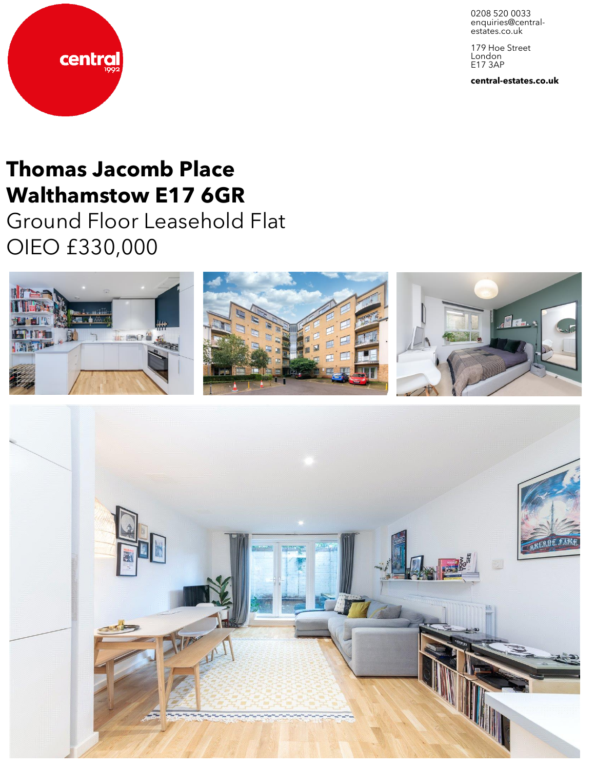0208 520 0033 enquiries@centralestates.co.uk

179 Hoe Street London E17 3AP

central-estates.co.uk



# Thomas Jacomb Place Walthamstow E17 6GR

Ground Floor Leasehold Flat OIEO £330,000